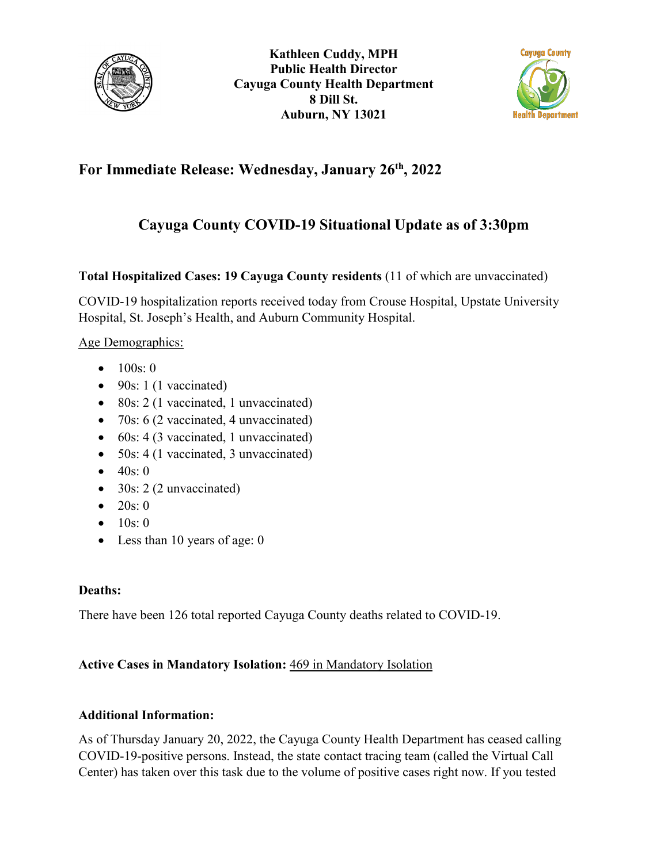



## **For Immediate Release: Wednesday, January 26th, 2022**

# **Cayuga County COVID-19 Situational Update as of 3:30pm**

### **Total Hospitalized Cases: 19 Cayuga County residents** (11 of which are unvaccinated)

COVID-19 hospitalization reports received today from Crouse Hospital, Upstate University Hospital, St. Joseph's Health, and Auburn Community Hospital.

#### Age Demographics:

- $100s: 0$
- $\bullet$  90s: 1 (1 vaccinated)
- 80s: 2 (1 vaccinated, 1 unvaccinated)
- 70s: 6 (2 vaccinated, 4 unvaccinated)
- 60s: 4 (3 vaccinated, 1 unvaccinated)
- 50s: 4 (1 vaccinated, 3 unvaccinated)
- $40s:0$
- $30s: 2(2$  unvaccinated)
- 20s: 0
- $10s: 0$
- Less than 10 years of age: 0

#### **Deaths:**

There have been 126 total reported Cayuga County deaths related to COVID-19.

#### **Active Cases in Mandatory Isolation:** 469 in Mandatory Isolation

#### **Additional Information:**

As of Thursday January 20, 2022, the Cayuga County Health Department has ceased calling COVID-19-positive persons. Instead, the state contact tracing team (called the Virtual Call Center) has taken over this task due to the volume of positive cases right now. If you tested